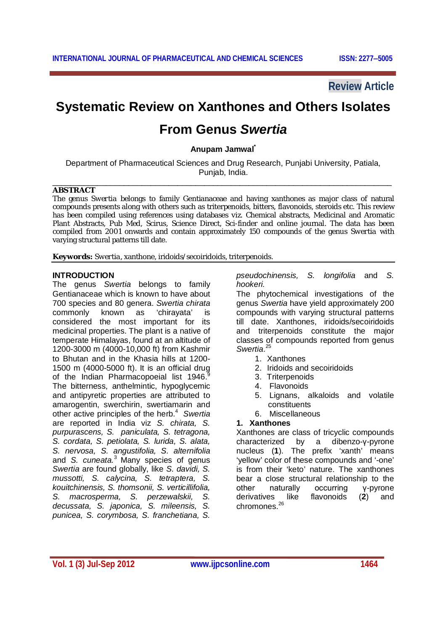**Review Article**

# **Systematic Review on Xanthones and Others Isolates**

## **From Genus** *Swertia*

**Anupam Jamwal\***

Department of Pharmaceutical Sciences and Drug Research, Punjabi University, Patiala, Punjab, India. \_\_\_\_\_\_\_\_\_\_\_\_\_\_\_\_\_\_\_\_\_\_\_\_\_\_\_\_\_\_\_\_\_\_\_\_\_\_\_\_\_\_\_\_\_\_\_\_\_\_\_\_\_\_\_\_\_\_\_\_\_\_\_\_\_\_\_\_\_\_\_\_\_\_\_\_

#### **ABSTRACT**

The genus *Swertia* belongs to family Gentianaceae and having xanthones as major class of natural compounds presents along with others such as triterpenoids, bitters, flavonoids, steroids etc. This review has been compiled using references using databases *viz.* Chemical abstracts, Medicinal and Aromatic Plant Abstracts, Pub Med, Scirus, Science Direct, Sci-finder and online journal. The data has been compiled from 2001 onwards and contain approximately 150 compounds of the genus *Swertia* with varying structural patterns till date.

**Keywords:** *Swertia*, xanthone, iridoids/secoiridoids, triterpenoids.

#### **INTRODUCTION**

The genus *Swertia* belongs to family Gentianaceae which is known to have about 700 species and 80 genera. *Swertia chirata* commonly known as 'chirayata' is considered the most important for its medicinal properties. The plant is a native of temperate Himalayas, found at an altitude of 1200-3000 m (4000-10,000 ft) from Kashmir to Bhutan and in the Khasia hills at 1200- 1500 m (4000-5000 ft). It is an official drug of the Indian Pharmacopoeial list 1946. The bitterness, anthelmintic, hypoglycemic and antipyretic properties are attributed to amarogentin, swerchirin, swertiamarin and other active principles of the herb.<sup>4</sup> *Swertia* are reported in India viz *S. chirata, S. purpurascens, S. paniculata, S. tetragona, S. cordata, S. petiolata, S. lurida, S. alata, S. nervosa, S. angustifolia, S. alternifolia*  and *S. cuneata.*<sup>3</sup> Many species of genus *Swertia* are found globally, like *S. davidi, S. mussotti, S. calycina, S. tetraptera, S. kouitchinensis, S. thomsonii, S. verticillifolia, S. macrosperma, S. perzewalskii, S. decussata, S. japonica, S. mileensis, S. punicea, S. corymbosa, S. franchetiana, S.* 

*pseudochinensis, S. longifolia* and *S. hookeri.* 

The phytochemical investigations of the genus *Swertia* have yield approximately 200 compounds with varying structural patterns till date. Xanthones, iridoids/secoiridoids and triterpenoids constitute the major classes of compounds reported from genus *Swertia*. 25

- 1. Xanthones
- 2. Iridoids and secoiridoids
- 3. Triterpenoids
- 4. Flavonoids
- 5. Lignans, alkaloids and volatile constituents
- 6. Miscellaneous

#### **1. Xanthones**

Xanthones are class of tricyclic compounds characterized by a dibenzo-γ-pyrone nucleus (**1**). The prefix 'xanth' means 'yellow' color of these compounds and '-one' is from their 'keto' nature. The xanthones bear a close structural relationship to the other naturally occurring γ-pyrone<br>derivatives like flavonoids (2) and derivatives like flavonoids (**2**) and chromones.<sup>26</sup>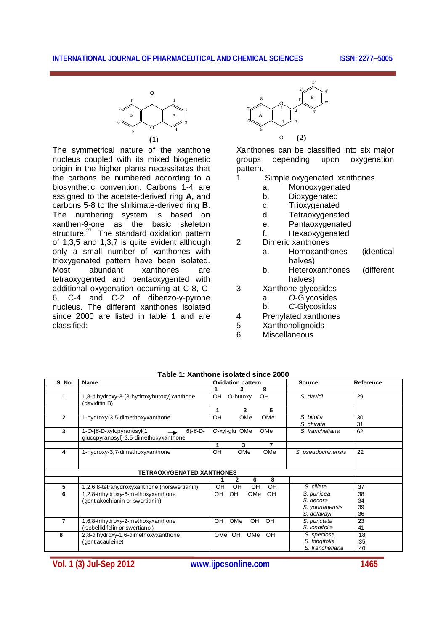

The symmetrical nature of the xanthone nucleus coupled with its mixed biogenetic origin in the higher plants necessitates that the carbons be numbered according to a biosynthetic convention. Carbons 1-4 are assigned to the acetate-derived ring **A,** and carbons 5-8 to the shikimate-derived ring **B**. The numbering system is based on xanthen-9-one as the basic skeleton structure.<sup>27</sup> The standard oxidation pattern of 1,3,5 and 1,3,7 is quite evident although only a small number of xanthones with trioxygenated pattern have been isolated. Most abundant xanthones are tetraoxygented and pentaoxygented with additional oxygenation occurring at C-8, C-6, C-4 and C-2 of dibenzo-γ-pyrone nucleus. The different xanthones isolated since 2000 are listed in table 1 and are classified:



Xanthones can be classified into six major groups depending upon oxygenation pattern.<br>1

- Simple oxygenated xanthones
	- a. Monooxygenated
	- b. Dioxygenated
	- c. Trioxygenated
	- d. Tetraoxygenated
	- e. Pentaoxygenated
	- f. Hexaoxygenated
- 2. Dimeric xanthones
	- a. Homoxanthones (identical halves)
	- b. Heteroxanthones (different halves)
- 3. Xanthone glycosides
	- a. *O*-Glycosides
		- b. *C*-Glycosides
- 4. Prenylated xanthones
- 5. Xanthonolignoids
- 6. Miscellaneous

| <b>S. No.</b>  | Name                                                                                                 | <b>Oxidation pattern</b>     | <b>Source</b>                                            | Reference            |
|----------------|------------------------------------------------------------------------------------------------------|------------------------------|----------------------------------------------------------|----------------------|
|                |                                                                                                      | 8<br>3                       |                                                          |                      |
|                | 1,8-dihydroxy-3-(3-hydroxybutoxy) xanthone<br>(daviditin B)                                          | OH<br>O-butoxy<br>OН         | S. davidi                                                | 29                   |
|                |                                                                                                      | 5<br>3<br>1                  |                                                          |                      |
| $\overline{2}$ | 1-hydroxy-3,5-dimethoxyxanthone                                                                      | OMe<br>OH<br>OMe             | S. bifolia<br>S. chirata                                 | 30<br>31             |
| 3              | $6)-\beta$ -D-<br>$1 - O - \frac{3}{2} - xy$ lopyranosyl (1<br>glucopyranosyl]-3,5-dimethoxyxanthone | OMe<br>OMe<br>O-xyl-glu      | S. franchetiana                                          | 62                   |
|                |                                                                                                      | 3<br>7<br>1                  |                                                          |                      |
| 4              | 1-hydroxy-3,7-dimethoxyxanthone                                                                      | OMe<br>OH<br>OMe             | S. pseudochinensis                                       | 22                   |
|                | <b>TETRAOXYGENATED XANTHONES</b>                                                                     |                              |                                                          |                      |
|                |                                                                                                      | 6<br>8<br>2                  |                                                          |                      |
| 5              | 1,2,6,8-tetrahydroxyxanthone (norswertianin)                                                         | OH<br>OH<br>OH<br>OH         | S. ciliate                                               | 37                   |
| 6              | 1,2,8-trihydroxy-6-methoxyxanthone<br>(gentiakochianin or swertianin)                                | OH<br>OH<br><b>OH</b><br>OMe | S. punicea<br>S. decora<br>S. yunnanensis<br>S. delavayi | 38<br>34<br>39<br>36 |
| 7              | 1,6,8-trihydroxy-2-methoxyxanthone<br>(isobellidifolin or swertianol)                                | OH<br>OMe<br>OH<br><b>OH</b> | S. punctata<br>S. longifolia                             | 23<br>41             |
| 8              | 2,8-dihydroxy-1,6-dimethoxyxanthone<br>(gentiacauleine)                                              | OH<br>OMe<br>OH<br>OMe       | S. speciosa<br>S. longifolia<br>S. franchetiana          | 18<br>35<br>40       |

**Table 1: Xanthone isolated since 2000**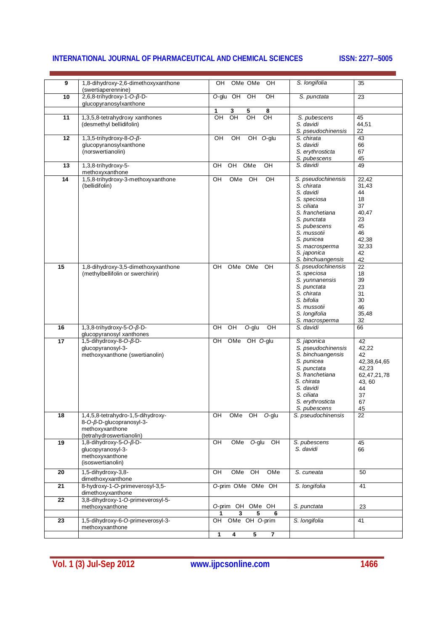| 9  | 1,8-dihydroxy-2,6-dimethoxyxanthone<br>(swertiaperennine)   | OMe OMe<br>OH<br>OH.                         | S. longifolia                   | 35             |
|----|-------------------------------------------------------------|----------------------------------------------|---------------------------------|----------------|
| 10 | 2,6,8-trihydroxy-1-O- $\beta$ -D-<br>glucopyranosylxanthone | O-glu OH<br>OH<br>OH                         | S. punctata                     | 23             |
|    |                                                             | 1<br>3<br>5<br>8                             |                                 |                |
| 11 | 1,3,5,8-tetrahydroxy xanthones                              | OH<br>OH<br>OH<br>OH                         | S. pubescens                    | 45             |
|    | (desmethyl bellidifolin)                                    |                                              | S. davidi<br>S. pseudochinensis | 44,51<br>22    |
| 12 | 1,3,5-trihydroxy-8-O- $\beta$ -                             | $\overline{C}$<br>$\overline{C}$<br>OH O-glu | S. chirata                      | 43             |
|    | glucopyranosylxanthone                                      |                                              | S. davidi                       | 66             |
|    | (norswertianolin)                                           |                                              | S. erythrosticta                | 67             |
|    |                                                             |                                              | S. pubescens                    | 45             |
| 13 | 1,3,8-trihydroxy-5-                                         | OH<br>OMe<br>OH<br>OH                        | S. davidi                       | 49             |
|    | methoxyxanthone                                             |                                              |                                 |                |
| 14 | 1,5,8-trihydroxy-3-methoxyxanthone                          | OH<br>OMe<br>OH<br>OH                        | S. pseudochinensis              | 22,42          |
|    | (bellidifolin)                                              |                                              | S. chirata                      | 31,43          |
|    |                                                             |                                              | S. davidi                       | 44             |
|    |                                                             |                                              | S. speciosa                     | 18             |
|    |                                                             |                                              | S. ciliata                      | 37             |
|    |                                                             |                                              | S. franchetiana                 | 40,47          |
|    |                                                             |                                              | S. punctata                     | 23             |
|    |                                                             |                                              | S. pubescens                    | 45             |
|    |                                                             |                                              | S. mussotii                     | 46             |
|    |                                                             |                                              | S. punicea                      | 42,38          |
|    |                                                             |                                              | S. macrosperma                  | 32,33          |
|    |                                                             |                                              | S. japonica                     | 42             |
|    |                                                             |                                              | S. binchuangensis               | 42             |
| 15 | 1,8-dihydroxy-3,5-dimethoxyxanthone                         | OMe OMe<br><b>OH</b><br>OH                   | S. pseudochinensis              | 22             |
|    | (methylbellifolin or swerchirin)                            |                                              | S. speciosa                     | 18             |
|    |                                                             |                                              | S. yunnanensis                  | 39             |
|    |                                                             |                                              | S. punctata                     | 23             |
|    |                                                             |                                              | S. chirata                      | 31             |
|    |                                                             |                                              | S. bifolia                      | 30             |
|    |                                                             |                                              | S. mussotii                     | 46             |
|    |                                                             |                                              | S. longifolia                   | 35,48          |
|    |                                                             |                                              | S. macrosperma                  | 32             |
| 16 | 1,3,8-trihydroxy-5-O-ß-D-<br>glucopyranosyl xanthones       | $O$ -glu<br>OH<br>OH<br>OH                   | S. davidi                       | 66             |
| 17 | 1,5-dihydroxy-8-O-ß-D-                                      | OMe OH O-glu<br>OH                           | S. japonica                     | 42             |
|    | glucopyranosyl-3-                                           |                                              | S. pseudochinensis              | 42,22          |
|    | methoxyxanthone (swertianolin)                              |                                              | S. binchuangensis               | 42             |
|    |                                                             |                                              | S. punicea                      | 42,38,64,65    |
|    |                                                             |                                              | S. punctata                     | 42,23          |
|    |                                                             |                                              | S. franchetiana                 | 62, 47, 21, 78 |
|    |                                                             |                                              | S. chirata                      | 43, 60         |
|    |                                                             |                                              | S. davidi                       | 44             |
|    |                                                             |                                              | S. ciliata                      | 37             |
|    |                                                             |                                              | S. erythrosticta                | 67             |
|    |                                                             |                                              | S. pubescens                    | 45             |
| 18 | 1,4,5,8-tetrahydro-1,5-dihydroxy-                           | OMe OH<br>OH<br>O-glu                        | S. pseudochinensis              | 22             |
|    | 8-O-β-D-glucopranosyl-3-                                    |                                              |                                 |                |
|    | methoxyxanthone                                             |                                              |                                 |                |
|    | (tetrahydroswertianolin)                                    |                                              |                                 |                |
| 19 | $1, 8$ -dihydroxy-5-O- $\beta$ -D-                          | $rac{}{P}{P}$<br>OMe O-glu<br>$\overline{R}$ | S. pubescens                    | 45             |
|    | glucopyranosyl-3-                                           |                                              | S. davidi                       | 66             |
|    | methoxyxanthone                                             |                                              |                                 |                |
|    | (isoswertianolin)                                           |                                              |                                 |                |
| 20 | 1,5-dihydroxy-3,8-                                          | $rac{}{O}$<br>OMe<br>$rac{}{QH}$<br>OMe      | S. cuneata                      | 50             |
|    | dimethoxyxanthone                                           | O-prim OMe OMe OH                            |                                 |                |
| 21 | 8-hydroxy-1-O-primeverosyl-3,5-                             |                                              | S. longifolia                   | 41             |
|    | dimethoxyxanthone                                           |                                              |                                 |                |
| 22 | 3,8-dihydroxy-1-O-primeverosyl-5-                           |                                              |                                 |                |
|    | methoxyxanthone                                             | O-prim OH OMe OH                             | S. punctata                     | 23             |
|    |                                                             | 3<br>5<br>6<br>OMe OH O-prim<br>OH           |                                 | 41             |
| 23 | 1,5-dihydroxy-6-O-primeverosyl-3-<br>methoxyxanthone        |                                              | S. longifolia                   |                |
|    |                                                             | $\overline{5}$<br>1<br>4<br>$\overline{7}$   |                                 |                |
|    |                                                             |                                              |                                 |                |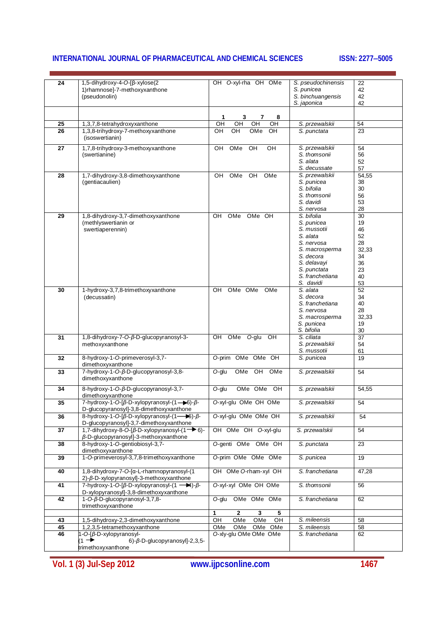| 24              | 1,5-dihydroxy-4-O-[β-xylose(2<br>1)rhamnose]-7-methoxyxanthone                                                                          | OH O-xyl-rha OH OMe                                 | S. pseudochinensis<br>S. punicea | 22<br>42    |
|-----------------|-----------------------------------------------------------------------------------------------------------------------------------------|-----------------------------------------------------|----------------------------------|-------------|
|                 | (pseudonolin)                                                                                                                           |                                                     | S. binchuangensis                | 42          |
|                 |                                                                                                                                         |                                                     | S. japonica                      | 42          |
|                 |                                                                                                                                         |                                                     |                                  |             |
|                 |                                                                                                                                         | 1<br>3<br>7<br>8                                    |                                  |             |
| 25              | 1,3,7,8-tetrahydroxyxanthone                                                                                                            | OH<br>OH<br>OH<br>OH                                | S. przewalskii                   | 54          |
| $\overline{26}$ | 1,3,8-trihydroxy-7-methoxyxanthone                                                                                                      | OH<br>OH<br>OMe<br>OH                               | S. punctata                      | 23          |
|                 | (isoswertianin)                                                                                                                         |                                                     |                                  |             |
| 27              | 1,7,8-trihydroxy-3-methoxyxanthone                                                                                                      | $\overline{C}$<br>OH<br>OMe<br>OH                   | S. przewalskii                   | 54          |
|                 | (swertianine)                                                                                                                           |                                                     | S. thomsonii<br>S. alata         | 56          |
|                 |                                                                                                                                         |                                                     | S. decussate                     | 52<br>57    |
| 28              | 1,7-dihydroxy-3,8-dimethoxyxanthone                                                                                                     | OH<br>OMe<br>OH<br>OMe                              | S. przewalskii                   | 54,55       |
|                 | (gentiacaulien)                                                                                                                         |                                                     | S. punicea                       | 38          |
|                 |                                                                                                                                         |                                                     | S. bifolia                       | 30          |
|                 |                                                                                                                                         |                                                     | S. thomsonii                     | 56          |
|                 |                                                                                                                                         |                                                     | S. davidi                        | 53          |
| 29              |                                                                                                                                         | OMe OH<br>OH<br>OMe                                 | S. nervosa<br>S. bifolia         | 28<br>30    |
|                 | 1,8-dihydroxy-3,7-dimethoxyxanthone<br>(methlyswertianin or                                                                             |                                                     | S. punicea                       | 19          |
|                 | swertiaperennin)                                                                                                                        |                                                     | S. mussotii                      | 46          |
|                 |                                                                                                                                         |                                                     | S. alata                         | 52          |
|                 |                                                                                                                                         |                                                     | S. nervosa                       | 28          |
|                 |                                                                                                                                         |                                                     | S. macrosperma                   | 32,33       |
|                 |                                                                                                                                         |                                                     | S. decora                        | 34          |
|                 |                                                                                                                                         |                                                     | S. delavayi<br>S. punctata       | 36<br>23    |
|                 |                                                                                                                                         |                                                     | S. franchetiana                  | 40          |
|                 |                                                                                                                                         |                                                     | S. davidi                        | 53          |
| 30              | 1-hydroxy-3,7,8-trimethoxyxanthone                                                                                                      | OMe OMe<br>OMe<br>OH                                | S. alata                         | 52          |
|                 | (decussatin)                                                                                                                            |                                                     | S. decora                        | 34          |
|                 |                                                                                                                                         |                                                     | S. franchetiana                  | 40          |
|                 |                                                                                                                                         |                                                     | S. nervosa                       | 28          |
|                 |                                                                                                                                         |                                                     | S. macrosperma<br>S. punicea     | 32,33<br>19 |
|                 |                                                                                                                                         |                                                     | S. bifolia                       | 30          |
| 31              | 1,8-dihydroxy-7-O-β-D-glucopyranosyl-3-                                                                                                 | $\overline{CH}$<br>OMe<br>$O-glu$<br>$\overline{C}$ | S. ciliata                       | 37          |
|                 | methoxyxanthone                                                                                                                         |                                                     | S. przewalskii                   | 54          |
|                 |                                                                                                                                         |                                                     | S. mussotii                      | 61          |
| 32              | 8-hydroxy-1-O-primeverosyl-3,7-                                                                                                         | O-prim OMe OMe OH                                   | S. punicea                       | 19          |
| 33              | dimethoxyxanthone<br>7-hydroxy-1-O-β-D-glucopyranosyl-3,8-                                                                              | OMe<br>OH<br>OMe<br>O-glu                           | S. przewalskii                   | 54          |
|                 | dimethoxyxanthone                                                                                                                       |                                                     |                                  |             |
|                 |                                                                                                                                         |                                                     |                                  |             |
| 34              | 8-hydroxy-1-O-ß-D-glucopyranosyl-3,7-<br>dimethoxyxanthone                                                                              | OMe OMe OH<br>O-glu                                 | S. przewalskii                   | 54,55       |
| 35              | 7-hydroxy-1-O-[ $\beta$ -D-xylopyranosyl- $(1 \rightarrow 6)$ - $\beta$ -                                                               | O-xyl-glu OMe OH OMe                                | S. przewalskii                   | 54          |
|                 | D-glucopyranosyl]-3,8-dimethoxyxanthone                                                                                                 |                                                     |                                  |             |
| 36              | 8-hydroxy-1-O-[β-D-xylopyranosyl-(1-86)-β-                                                                                              | O-xyl-glu OMe OMe OH                                | S. przewalskii                   | 54          |
|                 | D-glucopyranosyl]-3,7-dimethoxyxanthone                                                                                                 |                                                     |                                  |             |
| 37              | 1,7-dihydroxy-8-O-[β-D-xylopyranosyl-(1 <sup>-&gt;</sup> 6)-                                                                            | OH OMe OH O-xyl-glu                                 | S. przewalskii                   | 54          |
| 38              | β-D-glucopyranosyl]-3-methoxyxanthone<br>8-hydroxy-1-O-gentiobiosyl-3,7-                                                                | O-genti OMe OMe OH                                  | S. punctata                      | 23          |
|                 | dimethoxyxanthone                                                                                                                       |                                                     |                                  |             |
| 39              | 1-O-primeverosyl-3,7,8-trimethoxyxanthone                                                                                               | O-prim OMe OMe OMe                                  | S. punicea                       | 19          |
|                 |                                                                                                                                         |                                                     |                                  |             |
| 40              | 1,8-dihydroxy-7-O-[α-L-rhamnopyranosyl-(1                                                                                               | OH OMe O-rham-xyl OH                                | S. franchetiana                  | 47,28       |
|                 | 2)-β-D-xylopyranosyl]-3-methoxyxanthone                                                                                                 | O-xyl-xyl OMe OH OMe                                | S. thomsonii                     |             |
| 41              | 7-hydroxy-1-O-[ $\beta$ -D-xylopyranosyl- $(1 \rightarrow \blacktriangleright 4)$ - $\beta$ -<br>D-xylopyranosyl]-3,8-dimethoxyxanthone |                                                     |                                  | 56          |
| 42              | 1-O-β-D-glucopyranosyl-3,7,8-                                                                                                           | O-glu OMe OMe OMe                                   | S. franchetiana                  | 62          |
|                 | trimethoxyxanthone                                                                                                                      |                                                     |                                  |             |
|                 |                                                                                                                                         | 1<br>$\mathbf{2}$<br>5<br>3                         |                                  |             |
| 43              | 1,5-dihydroxy-2,3-dimethoxyxanthone                                                                                                     | OMe<br>OH<br>OMe<br>OH                              | S. mileensis                     | 58          |
| 45              | 1,2,3,5-tetramethoxyxanthone                                                                                                            | OMe<br>OMe OMe OMe                                  | S. mileensis                     | 58          |
| 46              | 1-O-[β-D-xylopyranosyl-                                                                                                                 | O-xly-glu OMe OMe OMe                               | S. franchetiana                  | 62          |
|                 | $(1 \rightarrow$<br>$6$ - $\beta$ -D-glucopyranosyl]-2,3,5-                                                                             |                                                     |                                  |             |
|                 | trimethoxyxanthone                                                                                                                      |                                                     |                                  |             |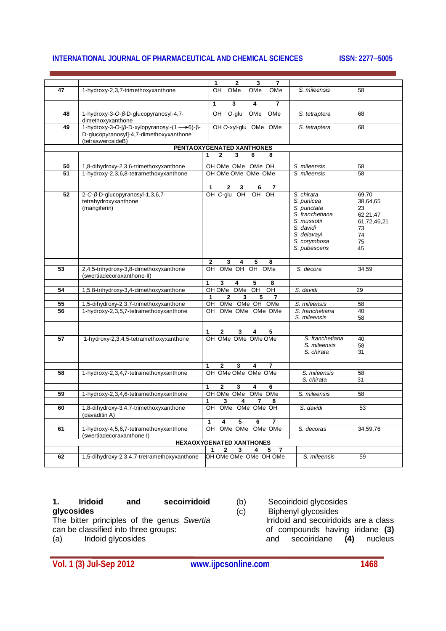|    |                                                                                                            | 2<br>1<br>3<br>7                                           |                                                                                                                                       |                                                                            |
|----|------------------------------------------------------------------------------------------------------------|------------------------------------------------------------|---------------------------------------------------------------------------------------------------------------------------------------|----------------------------------------------------------------------------|
| 47 | 1-hydroxy-2,3,7-trimethoxyxanthone                                                                         | OH<br>OMe<br>OMe<br>OMe                                    | S. mileensis                                                                                                                          | 58                                                                         |
|    |                                                                                                            |                                                            |                                                                                                                                       |                                                                            |
|    |                                                                                                            | 3<br>$\overline{7}$<br>$\mathbf{1}$<br>4                   |                                                                                                                                       |                                                                            |
| 48 | 1-hydroxy-3-O-ß-D-glucopyranosyl-4,7-<br>dimethoxyxanthone                                                 | OH<br>O-glu<br>OMe<br>OMe                                  | S. tetraptera                                                                                                                         | 68                                                                         |
| 49 | 1-hydroxy-3-O-[β-D-xylopyranosyl-(1->6)-β-<br>D-glucopyranosyl]-4,7-dimethoxyxanthone<br>(tetraswerosideB) | OH O-xyl-glu OMe OMe                                       | S. tetraptera                                                                                                                         | 68                                                                         |
|    |                                                                                                            | PENTAOXYGENATED XANTHONES                                  |                                                                                                                                       |                                                                            |
|    |                                                                                                            | 3<br>1<br>$\mathbf{2}$<br>6<br>8                           |                                                                                                                                       |                                                                            |
| 50 |                                                                                                            | OH OMe OMe OMe OH                                          | S. mileensis                                                                                                                          | 58                                                                         |
| 51 | 1,8-dihydroxy-2,3,6-trimethoxyxanthone<br>1-hydroxy-2,3,6,8-tetramethoxyxanthone                           | OH OMe OMe OMe OMe                                         | S. mileensis                                                                                                                          | 58                                                                         |
|    |                                                                                                            |                                                            |                                                                                                                                       |                                                                            |
|    |                                                                                                            | 2<br>3<br>6<br>1                                           |                                                                                                                                       |                                                                            |
| 52 | 2-C-β-D-glucopyranosyl-1,3,6,7-<br>tetrahydroxyxanthone<br>(mangiferin)                                    | OH C-glu OH OH OH                                          | S. chirata<br>S. punicea<br>S. punctata<br>S. franchetiana<br>S. mussotii<br>S. davidi<br>S. delavayi<br>S. corymbosa<br>S. pubescens | 69,70<br>38,64,65<br>23<br>62,21,47<br>61,72,46,21<br>73<br>74<br>75<br>45 |
|    |                                                                                                            | 3<br>2<br>5<br>8                                           |                                                                                                                                       |                                                                            |
| 53 | 2,4,5-trihydroxy-3,8-dimethoxyxanthone<br>(swertiadecoraxanthone-II)                                       | OMe OH<br>OH.<br>OH OMe                                    | S. decora                                                                                                                             | 34,59                                                                      |
|    |                                                                                                            | 3<br>4<br>5<br>1<br>8                                      |                                                                                                                                       |                                                                            |
| 54 | 1,5,8-trihydroxy-3,4-dimethoxyxanthone                                                                     | OH OMe OMe<br>OH<br>OH                                     | S. davidi                                                                                                                             | 29                                                                         |
| 55 | 1,5-dihydroxy-2,3,7-trimethoxyxanthone                                                                     | $\mathbf{2}$<br>3<br>5<br>7<br>1<br>OH<br>OMe OMe OH OMe   | S. mileensis                                                                                                                          | 58                                                                         |
| 56 | 1-hydroxy-2,3,5,7-tetramethoxyxanthone                                                                     | OMe OMe OMe OMe<br>OH                                      | S. franchetiana<br>S. mileensis                                                                                                       | 40<br>58                                                                   |
|    |                                                                                                            | 2<br>3<br>5                                                |                                                                                                                                       |                                                                            |
| 57 | 1-hydroxy-2,3,4,5-tetramethoxyxanthone                                                                     | OH OMe OMe OMe OMe                                         | S. franchetiana<br>S. mileensis<br>S. chirata                                                                                         | 40<br>58<br>31                                                             |
|    |                                                                                                            | $\mathbf{2}$<br>3<br>1<br>7<br>4                           |                                                                                                                                       |                                                                            |
| 58 | 1-hydroxy-2,3,4,7-tetramethoxyxanthone                                                                     | OH OMe OMe OMe OMe                                         | S. mileensis                                                                                                                          | 58                                                                         |
|    |                                                                                                            | 3<br>1<br>$\mathbf{2}$<br>4<br>6                           | S. chirata                                                                                                                            | 31                                                                         |
| 59 | 1-hydroxy-2,3,4,6-tetramethoxyxanthone                                                                     | OH OMe OMe OMe OMe                                         | S. mileensis                                                                                                                          | 58                                                                         |
|    |                                                                                                            | 3<br>1<br>4<br>7<br>8                                      |                                                                                                                                       |                                                                            |
| 60 | 1,8-dihydroxy-3,4,7-trimethoxyxanthone<br>(davaditin A)                                                    | OH OMe OMe OMe OH                                          | S. davidi                                                                                                                             | 53                                                                         |
|    |                                                                                                            | 1<br>4<br>5<br>6<br>7                                      |                                                                                                                                       |                                                                            |
| 61 | 1-hydroxy-4,5,6,7-tetramethoxyxanthone<br>(swertiadecoraxanthone I)                                        | OH OMe OMe OMe OMe                                         | S. decoras                                                                                                                            | 34,59,76                                                                   |
|    |                                                                                                            | <b>HEXAOXYGENATED XANTHONES</b><br>$\overline{\mathbf{7}}$ |                                                                                                                                       |                                                                            |
| 62 | 1,5-dihydroxy-2,3,4,7-tretramethoxyxanthone                                                                | 3<br>$\mathbf{2}$<br>4<br>5<br>OH OMe OMe OMe OH OMe       | S. mileensis                                                                                                                          | 59                                                                         |
|    |                                                                                                            |                                                            |                                                                                                                                       |                                                                            |

**1. Iridoid and secoirridoid glycosides** 

The bitter principles of the genus *Swertia* can be classified into three groups: (a) Iridoid glycosides

(b) Secoiridoid glycosides (c) Biphenyl glycosides

Irridoid and secoiridoids are a class of compounds having iridane **(3)** and secoiridane **(4)** nucleus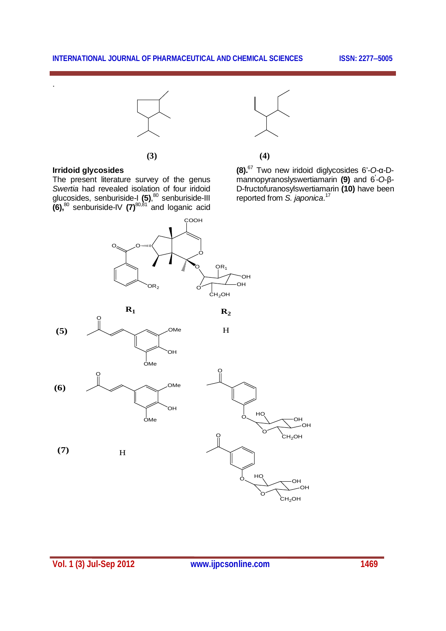

**(3) (4)**

**(8).**<sup>67</sup> Two new iridoid diglycosides 6'-*O-*α-Dmannopyranoslyswertiamarin **(9)** and 6**'** -*O*-β-D-fructofuranosylswertiamarin **(10)** have been reported from *S. japonica*. 17

## **Irridoid glycosides**

.

The present literature survey of the genus *Swertia* had revealed isolation of four iridoid glucosides, senburiside-I **(5)**, <sup>80</sup> senburiside-III **(6),**<sup>80</sup> senburiside-IV **(7)**80,81 and loganic acid









**R2**

**(7)** H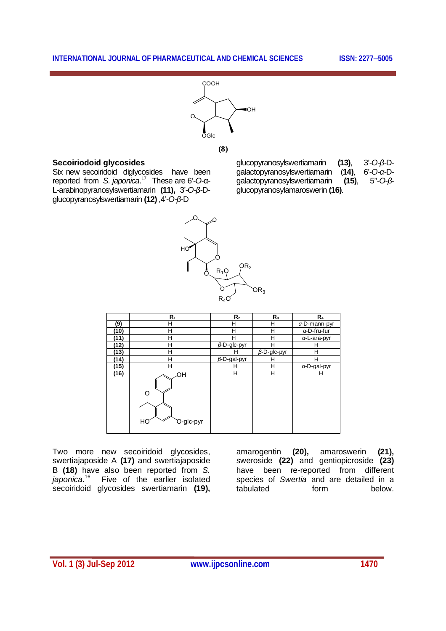

**(8)**

#### **Secoiriodoid glycosides**

Six new secoiridoid diglycosides have been reported from *S. japonica*. 17 These are 6'-*O*-α-L-arabinopyranosylswertiamarin **(11),** 3'-*O-β*-Dglucopyranosylswertiamarin **(12)** ,4'-*O-β*-D

glucopyranosylswertiamarin **(13)**, 3'-*O-β*-Dgalactopyranosylswertiamarin (**14)**, 6'-*O-α*-Dgalactopyranosylswertiamarin **(15)**, 5''-*O-β*glucopyranosylamaroswerin **(16)**.



|      | $R_1$                 | R <sub>2</sub>     | $R_3$              | $R_4$                |
|------|-----------------------|--------------------|--------------------|----------------------|
| (9)  | Н                     | н                  | н                  | $\alpha$ -D-mann-pyr |
| (10) | н                     | н                  | н                  | $\alpha$ -D-fru-fur  |
| (11) | Н                     | н                  | н                  | a-L-ara-pyr          |
| (12) | н                     | $\beta$ -D-glc-pyr | Н                  | н                    |
| (13) | н                     | н                  | $\beta$ -D-glc-pyr | н                    |
| (14) | Н                     | $\beta$ -D-gal-pyr | н                  | н                    |
| (15) | H                     | н                  | н                  | $\alpha$ -D-gal-pyr  |
| (16) | ЮH<br>HС<br>O-glc-pyr | н                  | H                  | н                    |

Two more new secoiridoid glycosides, swertiajaposide A **(17)** and swertiajaposide B **(18)** have also been reported from *S. japonica*.<sup>16</sup> Five of the earlier isolated secoiridoid glycosides swertiamarin **(19),**

amarogentin **(20),** amaroswerin **(21),** sweroside **(22)** and gentiopicroside **(23)** have been re-reported from different species of *Swertia* and are detailed in a tabulated form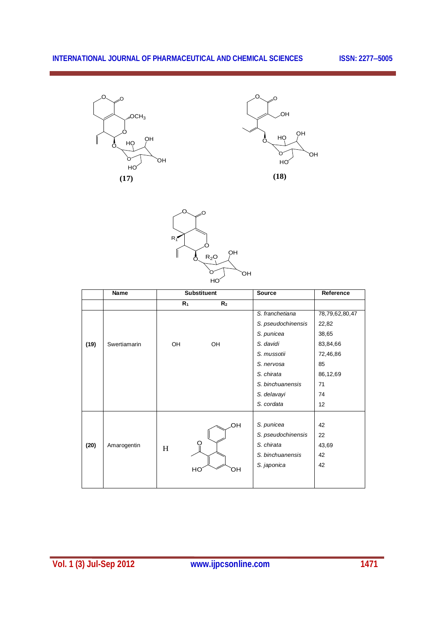





|      | Name         | <b>Substituent</b> |                | Source             | Reference       |
|------|--------------|--------------------|----------------|--------------------|-----------------|
|      |              | $R_1$              | R <sub>2</sub> |                    |                 |
|      |              |                    |                | S. franchetiana    | 78,79,62,80,47  |
|      |              |                    |                | S. pseudochinensis | 22,82           |
|      |              |                    |                | S. punicea         | 38,65           |
| (19) | Swertiamarin | OH                 | OH             | S. davidi          | 83,84,66        |
|      |              |                    |                | S. mussotii        | 72,46,86        |
|      |              |                    |                | S. nervosa         | 85              |
|      |              |                    |                | S. chirata         | 86,12,69        |
|      |              |                    |                | S. binchuanensis   | 71              |
|      |              |                    |                | S. delavayi        | 74              |
|      |              |                    |                | S. cordata         | 12 <sup>2</sup> |
|      |              |                    |                | S. punicea         | 42              |
|      |              |                    | OН             | S. pseudochinensis | 22              |
| (20) | Amarogentin  |                    |                | S. chirata         | 43,69           |
|      |              | H                  |                | S. binchuanensis   | 42              |
|      |              |                    |                | S. japonica        | 42              |
|      |              |                    | HO<br>ЮÏ       |                    |                 |
|      |              |                    |                |                    |                 |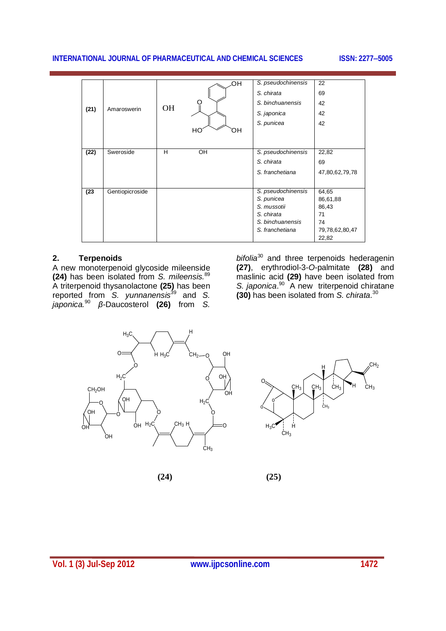|      |                 |           | ЮH       | S. pseudochinensis | 22             |
|------|-----------------|-----------|----------|--------------------|----------------|
|      |                 |           |          | S. chirata         | 69             |
|      |                 |           |          | S. binchuanensis   | 42             |
| (21) | Amaroswerin     | <b>OH</b> |          | S. japonica        | 42             |
|      |                 |           |          | S. punicea         | 42             |
|      |                 |           | HO<br>ЮH |                    |                |
|      |                 |           |          |                    |                |
| (22) | Sweroside       | H         | OH       | S. pseudochinensis | 22,82          |
|      |                 |           |          | S. chirata         | 69             |
|      |                 |           |          | S. franchetiana    | 47,80,62,79,78 |
|      |                 |           |          |                    |                |
| (23) | Gentiopicroside |           |          | S. pseudochinensis | 64,65          |
|      |                 |           |          | S. punicea         | 86,61,88       |
|      |                 |           |          | S. mussotii        | 86,43          |
|      |                 |           |          | S. chirata         | 71             |
|      |                 |           |          | S. binchuanensis   | 74             |
|      |                 |           |          | S. franchetiana    | 79,78,62,80,47 |
|      |                 |           |          |                    | 22,82          |

#### **2. Terpenoids**

A new monoterpenoid glycoside mileenside **(24)** has been isolated from *S. mileensis.*<sup>89</sup> A triterpenoid thysanolactone **(25)** has been reported from *S. yunnanensis*<sup>39</sup> and *S. japonica.*<sup>90</sup> *β*-Daucosterol **(26)** from *S.*  *bifolia*<sup>30</sup> and three terpenoids hederagenin **(27)**, erythrodiol-3-*O*-palmitate **(28)** and maslinic acid **(29)** have been isolated from S. *japonica*.<sup>90</sup> A new triterpenoid chiratane **(30)** has been isolated from *S. chirata.*<sup>30</sup>





 $(24)$   $(25)$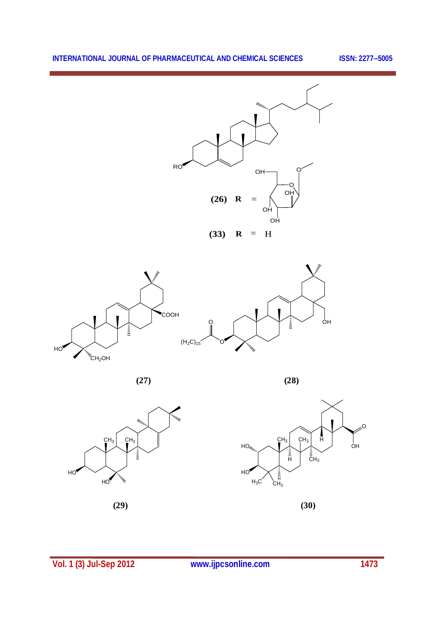



 **(27) (28)**





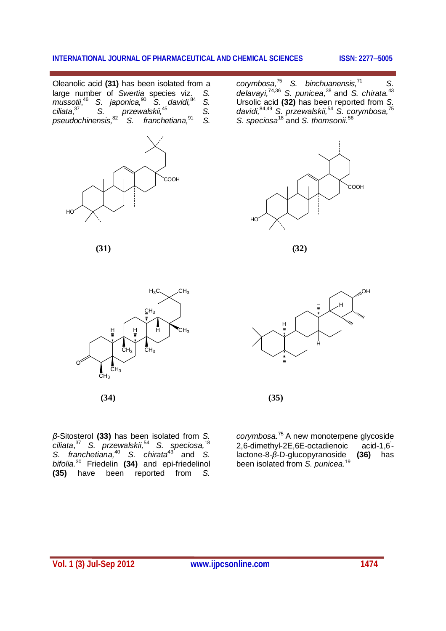Oleanolic acid **(31)** has been isolated from a large number of *Swertia* species viz. *S. mussotii*, <sup>46</sup> *S. japonica,*<sup>90</sup> *S. davidi,*<sup>84</sup> *S. ciliata*, <sup>37</sup> *S. przewalskii,*<sup>45</sup> *S. pseudochinensis,*<sup>82</sup> *S. franchetiana,*<sup>91</sup> *S.* 



*corymbosa,*<sup>75</sup> *S. binchuanensis,*<sup>71</sup>  *S. delavayi,*74,36 *S. punicea,*<sup>38</sup>and *S. chirata.*<sup>43</sup> Ursolic acid **(32)** has been reported from *S.*  davidi, <sup>84,49</sup> S. przewalskii, <sup>54</sup> S. corymbosa, <sup>75</sup> *S. speciosa*<sup>18</sup> and *S. thomsonii.*<sup>56</sup>



**(31) (32)**



**(34) (35)** 



*β*-Sitosterol **(33)** has been isolated from *S.*   $c$ iliata,  $37$  S. przewalskii,  $54$  S. speciosa,  $18$ *S. franchetiana,*<sup>40</sup> *S. chirata*<sup>43</sup> and *S. bifolia.*<sup>30</sup> Friedelin **(34)** and epi-friedelinol **(35)** have been reported from *S.* 

*corymbosa.*<sup>75</sup>A new monoterpene glycoside 2,6-dimethyl-2E,6E-octadienoic acid-1,6' lactone-8-*β*-D-glucopyranoside **(36)** has been isolated from *S. punicea*. 19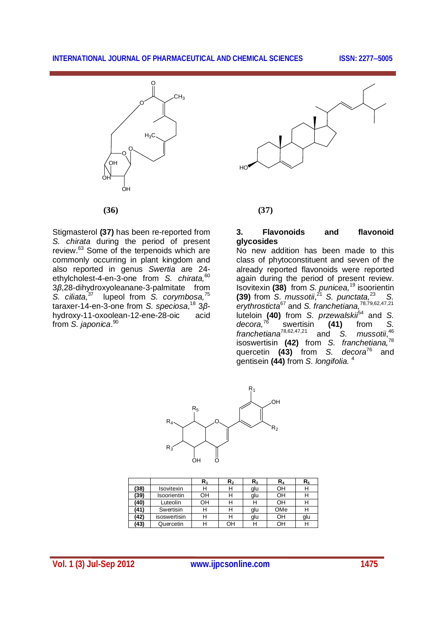



Stigmasterol **(37)** has been re-reported from *S. chirata* during the period of present review.<sup>63</sup> Some of the terpenoids which are commonly occurring in plant kingdom and also reported in genus *Swertia* are 24 ethylcholest-4-en-3-one from *S. chirata,*<sup>60</sup> 3*β*,28-dihydroxyoleanane-3-palmitate from *S. ciliata,*<sup>37</sup> lupeol from *S. corymbosa,*<sup>75</sup> taraxer-14-en-3-one from *S. speciosa*, <sup>18</sup> 3*β*hydroxy-11-oxoolean-12-ene-28-oic acid from *S. japonica*. 90

### **(36) (37)**

#### **3. Flavonoids and flavonoid glycosides**

No new addition has been made to this class of phytoconstituent and seven of the already reported flavonoids were reported again during the period of present review. Isovitexin **(38)** from *S. punicea,*<sup>19</sup> isoorientin **(39)** from *S. mussotii*,<sup>21</sup> *S. punctata,*<sup>23</sup> *S. erythrosticta*<sup>67</sup> and *S. franchetiana,*78,79,62,47,21 luteloin **(40)** from *S. przewalskii*<sup>54</sup> and *S. decora,*<sup>76</sup> swertisin **(41)** from *S. franchetiana*<sup>78,62,47,21</sup> and *S.*  $mussotii, <sup>46</sup>$ isoswertisin **(42)** from *S. franchetiana,*<sup>78</sup> quercetin (43) from *S. decora*<sup>76</sup> gentisein **(44)** from *S. longifolia.* <sup>4</sup>



|      |                    | ${\sf R}_1$ | $\mathsf{R}_2$ | $\mathsf{R}_3$ | R,  | R <sub>5</sub> |
|------|--------------------|-------------|----------------|----------------|-----|----------------|
| (38) | <b>Isovitexin</b>  | Н           | Н              | glu            | OH  | Н              |
| (39) | <b>Isoorientin</b> | OН          | Н              | glu            | OН  | Н              |
| (40) | Luteolin           | OН          | Н              | Н              | OН  |                |
| (41) | Swertisin          | Н           | Н              | glu            | OMe |                |
| (42) | isoswertisin       | Н           | Н              | glu            | OН  | glu            |
| (43) | Quercetin          | Н           | OН             | н              | OН  |                |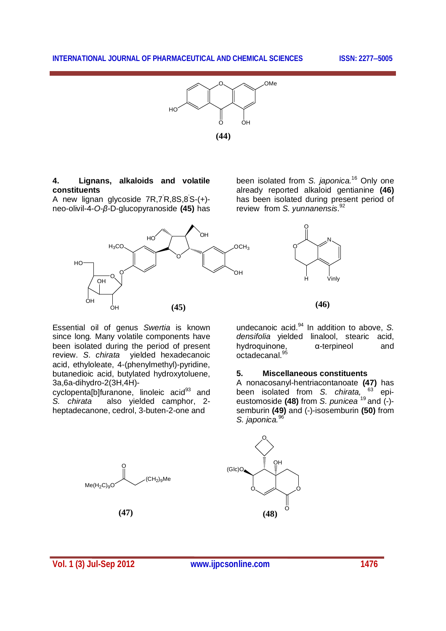

#### **4. Lignans, alkaloids and volatile constituents**

A new lignan glycoside 7R,7'R,8S,8'S-(+) neo-olivil-4-*O-β*-D-glucopyranoside **(45)** has



been isolated from *S. japonica.*<sup>16</sup> Only one already reported alkaloid gentianine **(46)** has been isolated during present period of review from *S. yunnanensis*. 92



**(46)**

Essential oil of genus *Swertia* is known since long*.* Many volatile components have been isolated during the period of present review. *S. chirata* yielded hexadecanoic acid, ethyloleate, 4-(phenylmethyl)-pyridine, butanedioic acid, butylated hydroxytoluene, 3a,6a-dihydro-2(3H,4H)-

cyclopenta[b]furanone, linoleic acid $^{93}$  and<br>S. chirata also vielded camphor 2also vielded camphor, 2heptadecanone, cedrol, 3-buten-2-one and

undecanoic acid.<sup>94</sup> In addition to above, S. *densifolia* yielded linalool, stearic acid, hydroquinone, α-terpineol and octadecanal.<sup>95</sup>

#### **5. Miscellaneous constituents**

A nonacosanyl-hentriacontanoate **(47)** has been isolated from *S. chirata,* <sup>63</sup> epieustomoside **(48)** from *S. punicea* <sup>19</sup>and (-) semburin **(49)** and (-)-isosemburin **(50)** from *S. japonica.*<sup>96</sup>



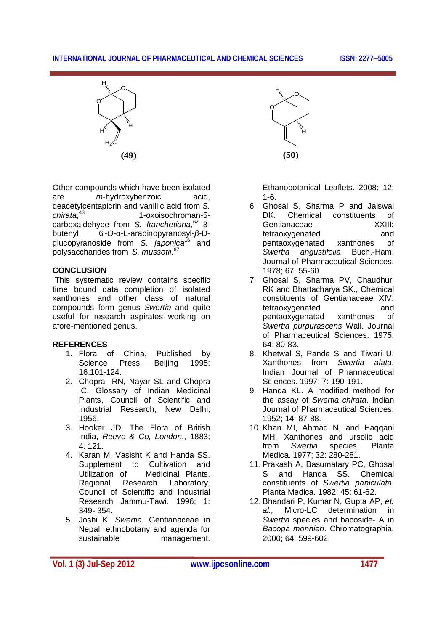

Other compounds which have been isolated are *m*-hydroxybenzoic acid, deacetylcentapicrin and vanillic acid from *S. chirata*, <sup>43</sup> 1-oxoisochroman-5 carboxaldehyde from *S. franchetiana,*<sup>62</sup> 3 butenyl -*O*-α-L-arabinopyranosyl-*β*-Dglucopyranoside from *S. japonica*<sup>16</sup> and polysaccharides from *S. mussotii*. 97

#### **CONCLUSION**

This systematic review contains specific time bound data completion of isolated xanthones and other class of natural compounds form genus *Swertia* and quite useful for research aspirates working on afore-mentioned genus.

#### **REFERENCES**

- 1. Flora of China, Published by Science Press, Beijing 16:101-124.
- 2. Chopra RN, Nayar SL and Chopra IC. Glossary of Indian Medicinal Plants, Council of Scientific and Industrial Research, New Delhi; 1956.
- 3. Hooker JD. The Flora of British India, *Reeve & Co, London*., 1883; 4: 121.
- 4. Karan M, Vasisht K and Handa SS. Supplement to Cultivation and Utilization of Medicinal Plants. Regional Research Laboratory, Council of Scientific and Industrial Research Jammu-Tawi*.* 1996; 1: 349- 354.
- 5. Joshi K. *Swertia*. Gentianaceae in Nepal: ethnobotany and agenda for sustainable management.



Ethanobotanical Leaflets. 2008; 12: 1-6.

- 6. Ghosal S, Sharma P and Jaiswal DK. Chemical constituents of Gentianaceae XXIII: tetraoxygenated and pentaoxygenated xanthones of *Swertia angustifolia* Buch.-Ham. Journal of Pharmaceutical Sciences. 1978; 67: 55-60.
- 7. Ghosal S, Sharma PV, Chaudhuri RK and Bhattacharya SK., Chemical constituents of Gentianaceae XIV: tetraoxygenated and pentaoxygenated xanthones of *Swertia purpurascens* Wall. Journal of Pharmaceutical Sciences. 1975; 64: 80-83.
- 8. Khetwal S, Pande S and Tiwari U. Xanthones from *Swertia alata*. Indian Journal of Pharmaceutical Sciences*.* 1997; 7: 190-191.
- 9. Handa KL. A modified method for the assay of *Swertia chirata*. Indian Journal of Pharmaceutical Sciences. 1952; 14: 87-88.
- 10. Khan MI, Ahmad N, and Haqqani MH. Xanthones and ursolic acid from *Swertia* species. Planta Medica. 1977; 32: 280-281.
- 11. Prakash A, Basumatary PC, Ghosal S and Handa SS. Chemical constituents of *Swertia paniculata.*  Planta Medica. 1982; 45: 61-62.
- 12. Bhandari P, Kumar N, Gupta AP, *et. al.,* Micro-LC determination in *Swertia* species and bacoside- A in *Bacopa monnieri*. Chromatographia. 2000; 64: 599-602.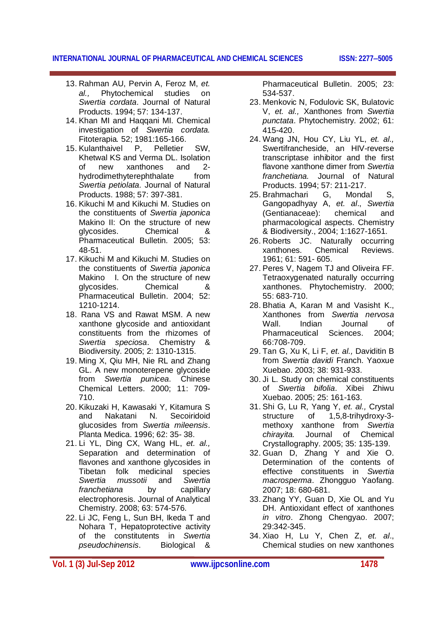- 13. Rahman AU, Pervin A, Feroz M, *et. al.,* Phytochemical studies on *Swertia cordata*. Journal of Natural Products. 1994; 57: 134-137.
- 14. Khan MI and Haqqani MI. Chemical investigation of *Swertia cordata.*  Fitoterapia*.* 52; 1981:165-166.
- 15. Kulanthaivel P, Pelletier SW, Khetwal KS and Verma DL. Isolation of new xanthones and 2 hydrodimethyterephthalate from *Swertia petiolata.* Journal of Natural Products. 1988; 57: 397-381.
- 16. Kikuchi M and Kikuchi M. Studies on the constituents of *Swertia japonica* Makino II: On the structure of new glycosides. Chemical & Pharmaceutical Bulletin*.* 2005; 53: 48-51.
- 17. Kikuchi M and Kikuchi M. Studies on the constituents of *Swertia japonica* Makino I. On the structure of new<br>diveosides Chemical & glycosides. Chemical & Pharmaceutical Bulletin. 2004; 52: 1210-1214.
- 18. Rana VS and Rawat MSM. A new xanthone glycoside and antioxidant constituents from the rhizomes of *Swertia speciosa*. Chemistry & Biodiversity. 2005; 2: 1310-1315.
- 19. Ming X, Qiu MH, Nie RL and Zhang GL. A new monoterepene glycoside from *Swertia punicea*. Chinese Chemical Letters. 2000; 11: 709- 710.
- 20. Kikuzaki H, Kawasaki Y, Kitamura S and Nakatani N. Secoiridoid glucosides from *Swertia mileensis*. Planta Medica. 1996; 62: 35- 38.
- 21. Li YL, Ding CX, Wang HL, *et. al.,* Separation and determination of flavones and xanthone glycosides in Tibetan folk medicinal species<br>Swertia mussotii and Swertia *Swertia mussotii* and *Swertia franchetiana* by capillary electrophoresis. Journal of Analytical Chemistry. 2008; 63: 574-576.
- 22. Li JC, Feng L, Sun BH, Ikeda T and Nohara T, Hepatoprotective activity of the constitutents in *Swertia pseudochinensis*. Biological &

Pharmaceutical Bulletin. 2005; 23: 534-537.

- 23. Menkovic N, Fodulovic SK, Bulatovic V, *et. al.,* Xanthones from *Swertia punctata*. Phytochemistry. 2002; 61: 415-420.
- 24. Wang JN, Hou CY, Liu YL, *et. al.,* Swertifrancheside, an HIV-reverse transcriptase inhibitor and the first flavone xanthone dimer from *Swertia franchetiana.* Journal of Natural Products. 1994; 57: 211-217.<br>Brahmachari G. Mondal
- 25. Brahmachari G, Mondal S, Gangopadhyay A, *et. al*., *Swertia*  (Gentianaceae): chemical and pharmacological aspects. Chemistry & Biodiversity., 2004; 1:1627-1651.
- 26. Roberts JC. Naturally occurring xanthones. Chemical Reviews. 1961; 61: 591- 605.
- 27. Peres V, Nagem TJ and Oliveira FF. Tetraoxygenated naturally occurring xanthones. Phytochemistry. 2000; 55: 683-710.
- 28. Bhatia A, Karan M and Vasisht K., Xanthones from *Swertia nervosa* Wall. Indian Journal of Pharmaceutical Sciences. 2004; 66:708-709.
- 29. Tan G, Xu K, Li F, *et. al.,* Daviditin B from *Swertia davidi* Franch. Yaoxue Xuebao. 2003; 38: 931-933.
- 30. Ji L. Study on chemical constituents of *Swertia bifolia*. Xibei Zhiwu Xuebao. 2005; 25: 161-163.
- 31. Shi G, Lu R, Yang Y, *et. al.,* Crystal structure of 1,5,8-trihydroxy-3 methoxy xanthone from *Swertia chirayita.* Journal of Chemical Crystallography. 2005; 35: 135-139.
- 32. Guan D, Zhang Y and Xie O. Determination of the contents of effective constituents in *Swertia macrosperma*. Zhongguo Yaofang. 2007; 18: 680-681.
- 33. Zhang YY, Guan D, Xie OL and Yu DH. Antioxidant effect of xanthones *in vitro*. Zhong Chengyao. 2007; 29:342-345.
- 34. Xiao H, Lu Y, Chen Z, *et. al*., Chemical studies on new xanthones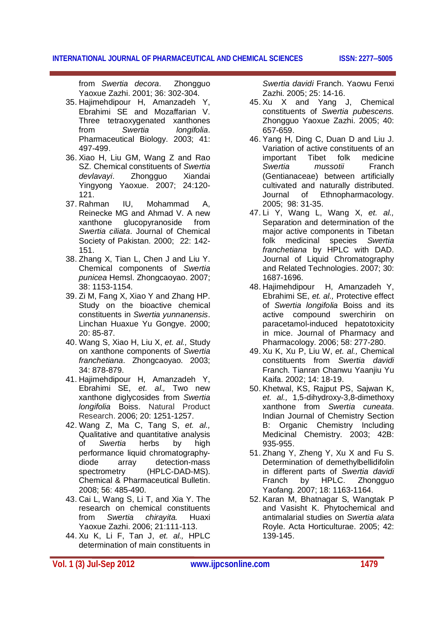from *Swertia decora*. Zhongguo Yaoxue Zazhi. 2001; 36: 302-304.

- 35. Hajimehdipour H, Amanzadeh Y, Ebrahimi SE and Mozaffarian V. Three tetraoxygenated xanthones from *Swertia longifolia*. Pharmaceutical Biology. 2003; 41: 497-499.
- 36. Xiao H, Liu GM, Wang Z and Rao SZ. Chemical constituents of *Swertia devlavayi*. Zhongguo Xiandai Yingyong Yaoxue. 2007; 24:120- 121.
- 37. Rahman IU, Mohammad A, Reinecke MG and Ahmad V. A new xanthone glucopyranoside from *Swertia ciliata*. Journal of Chemical Society of Pakistan. 2000; 22: 142- 151.
- 38. Zhang X, Tian L, Chen J and Liu Y. Chemical components of *Swertia punicea* Hemsl. Zhongcaoyao. 2007; 38: 1153-1154.
- 39. Zi M, Fang X, Xiao Y and Zhang HP. Study on the bioactive chemical constituents in *Swertia yunnanensis*. Linchan Huaxue Yu Gongye. 2000; 20: 85-87.
- 40. Wang S, Xiao H, Liu X, *et. al.,* Study on xanthone components of *Swertia franchetiana*. Zhongcaoyao. 2003; 34: 878-879.
- 41. Hajimehdipour H, Amanzadeh Y, Ebrahimi SE, *et. al.,* Two new xanthone diglycosides from *Swertia longifolia* Boiss. Natural Product Research. 2006; 20: 1251-1257.
- 42. Wang Z, Ma C, Tang S, *et. al.,* Qualitative and quantitative analysis of *Swertia* herbs by high performance liquid chromatographydiode array detection-mass spectrometry (HPLC-DAD-MS). Chemical & Pharmaceutical Bulletin. 2008; 56: 485-490.
- 43. Cai L, Wang S, Li T, and Xia Y. The research on chemical constituents from *Swertia chirayita.* Huaxi Yaoxue Zazhi. 2006; 21:111-113.
- 44. Xu K, Li F, Tan J, *et. al.,* HPLC determination of main constituents in

*Swertia davidi* Franch. Yaowu Fenxi Zazhi*.* 2005; 25: 14-16.

- 45. Xu X and Yang J, Chemical constituents of *Swertia pubescens.* Zhongguo Yaoxue Zazhi. 2005; 40: 657-659.
- 46. Yang H, Ding C, Duan D and Liu J. Variation of active constituents of an important Tibet folk medicine *Swertia mussotii* Franch (Gentianaceae) between artificially cultivated and naturally distributed. Journal of Ethnopharmacology. 2005; 98: 31-35.
- 47. Li Y, Wang L, Wang X, *et. al.,* Separation and determination of the major active components in Tibetan folk medicinal species *Swertia franchetiana* by HPLC with DAD. Journal of Liquid Chromatography and Related Technologies. 2007; 30: 1687-1696.
- 48. Hajimehdipour H, Amanzadeh Y, Ebrahimi SE, *et. al.,* Protective effect of *Swertia longifolia* Boiss and its active compound swerchirin on paracetamol-induced hepatotoxicity in mice. Journal of Pharmacy and Pharmacology. 2006; 58: 277-280.
- 49. Xu K, Xu P, Liu W, *et. al.,* Chemical constituents from *Swertia davidi* Franch. Tianran Chanwu Yaanjiu Yu Kaifa. 2002; 14: 18-19.
- 50. Khetwal, KS, Rajput PS, Sajwan K, *et. al.,* 1,5-dihydroxy-3,8-dimethoxy xanthone from *Swertia cuneata*. Indian Journal of Chemistry Section B: Organic Chemistry Including Medicinal Chemistry. 2003; 42B: 935-955.
- 51. Zhang Y, Zheng Y, Xu X and Fu S. Determination of demethylbellidifolin in different parts of *Swertia davidi* Zhongguo Yaofang. 2007; 18: 1163-1164.
- 52. Karan M, Bhatnagar S, Wangtak P and Vasisht K. Phytochemical and antimalarial studies on *Swertia alata* Royle. Acta Horticulturae. 2005; 42: 139-145.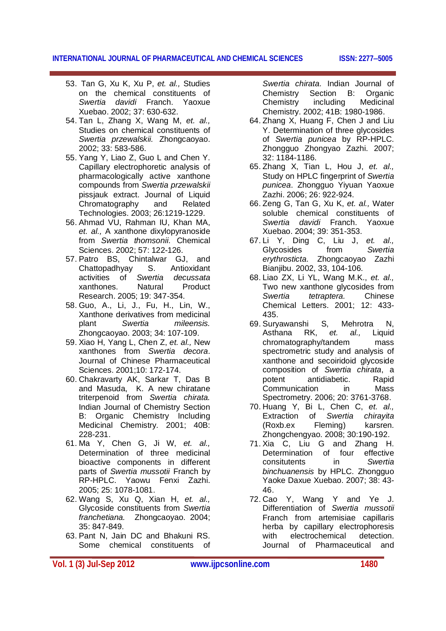- 53. Tan G, Xu K, Xu P, *et. al.,* Studies on the chemical constituents of *Swertia davidi* Franch. Yaoxue Xuebao. 2002; 37: 630-632.
- 54. Tan L, Zhang X, Wang M, *et. al.,* Studies on chemical constituents of *Swertia przewalskii.* Zhongcaoyao. 2002; 33: 583-586.
- 55. Yang Y, Liao Z, Guo L and Chen Y. Capillary electrophoretic analysis of pharmacologically active xanthone compounds from *Swertia przewalskii* pissjauk extract. Journal of Liquid Chromatography and Related Technologies. 2003; 26:1219-1229.
- 56. Ahmad VU, Rahman IU, Khan MA, *et. al.,* A xanthone dixylopyranoside from *Swertia thomsonii*. Chemical Sciences. 2002; 57: 122-126.
- 57. Patro BS, Chintalwar GJ, and Chattopadhyay S. Antioxidant activities of *Swertia decussata* xanthones. Natural Product Research. 2005; 19: 347-354.
- 58. Guo, A., Li, J., Fu, H., Lin, W., Xanthone derivatives from medicinal plant *Swertia mileensis.* Zhongcaoyao. 2003; 34: 107-109.
- 59. Xiao H, Yang L, Chen Z, *et. al.,* New xanthones from *Swertia decora*. Journal of Chinese Pharmaceutical Sciences. 2001;10: 172-174.
- 60. Chakravarty AK, Sarkar T, Das B and Masuda, K. A new chiratane triterpenoid from *Swertia chirata.*  Indian Journal of Chemistry Section B: Organic Chemistry Including Medicinal Chemistry. 2001; 40B: 228-231.
- 61. Ma Y, Chen G, Ji W, *et. al.,* Determination of three medicinal bioactive components in different parts of *Swertia mussotii* Franch by RP-HPLC. Yaowu Fenxi Zazhi. 2005; 25: 1078-1081.
- 62. Wang S, Xu Q, Xian H, *et. al.,* Glycoside constituents from *Swertia franchetiana.* Zhongcaoyao. 2004; 35: 847-849.
- 63. Pant N, Jain DC and Bhakuni RS. Some chemical constituents of

*Swertia chirata*. Indian Journal of Chemistry Section B: Organic Chemistry including Medicinal Chemistry. 2002; 41B: 1980-1986.

- 64. Zhang X, Huang F, Chen J and Liu Y. Determination of three glycosides of *Swertia punicea* by RP-HPLC. Zhongguo Zhongyao Zazhi. 2007; 32: 1184-1186.
- 65. Zhang X, Tian L, Hou J, *et. al.,* Study on HPLC fingerprint of *Swertia punicea*. Zhongguo Yiyuan Yaoxue Zazhi. 2006; 26: 922-924.
- 66. Zeng G, Tan G, Xu K, *et. al.,* Water soluble chemical constituents of *Swertia davidi* Franch. Yaoxue Xuebao. 2004; 39: 351-353.
- 67. Li Y, Ding C, Liu J, *et. al.,* Glycosides from *Swertia erythrosticta*. Zhongcaoyao Zazhi Bianjibu. 2002, 33, 104-106.
- 68. Liao ZX, Li YL, Wang M.K., *et. al.,* Two new xanthone glycosides from *Swertia tetraptera.* Chinese Chemical Letters. 2001; 12: 433- 435.
- 69. Suryawanshi S, Mehrotra N,<br>Asthana RK, et, al., Liquid Asthana RK, *et. al.,* Liquid chromatography/tandem mass spectrometric study and analysis of xanthone and secoiridoid glycoside composition of *Swertia chirata*, a potent antidiabetic. Rapid Communication in Mass Spectrometry. 2006; 20: 3761-3768.
- 70. Huang Y, Bi L, Chen C, *et. al.,* Extraction of *Swertia chirayita* (Roxb.ex Fleming) karsren. Zhongchengyao. 2008; 30:190-192.
- 71. Xia C, Liu G and Zhang H. Determination of four effective consitutents in *Swertia binchuanensis* by HPLC. Zhongguo Yaoke Daxue Xuebao. 2007; 38: 43- 46.
- 72. Cao Y, Wang Y and Ye J. Differentiation of *Swertia mussotii* Franch from artemisiae capillaris herba by capillary electrophoresis with electrochemical detection. Journal of Pharmaceutical and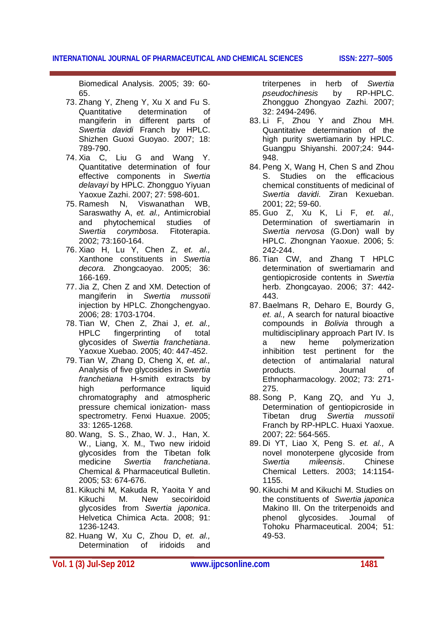Biomedical Analysis*.* 2005; 39: 60- 65.

- 73. Zhang Y, Zheng Y, Xu X and Fu S. Quantitative determination of mangiferin in different parts of *Swertia davidi* Franch by HPLC. Shizhen Guoxi Guoyao. 2007; 18: 789-790.
- 74. Xia C, Liu G and Wang Y. Quantitative determination of four effective components in *Swertia delavayi* by HPLC. Zhongguo Yiyuan Yaoxue Zazhi. 2007; 27: 598-601.
- 75. Ramesh N, Viswanathan WB, Saraswathy A, *et. al.,* Antimicrobial and phytochemical studies of *Swertia corymbosa*. Fitoterapia. 2002; 73:160-164.
- 76. Xiao H, Lu Y, Chen Z, *et. al.,* Xanthone constituents in *Swertia decora.* Zhongcaoyao. 2005; 36: 166-169.
- 77. Jia Z, Chen Z and XM. Detection of mangiferin in *Swertia mussotii* injection by HPLC. Zhongchengyao. 2006; 28: 1703-1704.
- 78. Tian W, Chen Z, Zhai J, *et. al.,* HPLC fingerprinting of total glycosides of *Swertia franchetiana*. Yaoxue Xuebao. 2005; 40: 447-452.
- 79. Tian W, Zhang D, Cheng X, *et. al.,* Analysis of five glycosides in *Swertia franchetiana* H-smith extracts by high performance liquid chromatography and atmospheric pressure chemical ionization- mass spectrometry. Fenxi Huaxue. 2005; 33: 1265-1268.
- 80. Wang, S. S., Zhao, W. J., Han, X. W., Liang, X. M., Two new iridoid glycosides from the Tibetan folk medicine *Swertia franchetiana*. Chemical & Pharmaceutical Bulletin. 2005; 53: 674-676.
- 81. Kikuchi M, Kakuda R, Yaoita Y and Kikuchi M. New secoiridoid glycosides from *Swertia japonica*. Helvetica Chimica Acta. 2008; 91: 1236-1243.
- 82. Huang W, Xu C, Zhou D, *et. al.,* Determination of iridoids and

triterpenes in herb of *Swertia pseudochinesis* by Zhongguo Zhongyao Zazhi. 2007; 32: 2494-2496.

- 83. Li F, Zhou Y and Zhou MH. Quantitative determination of the high purity swertiamarin by HPLC. Guangpu Shiyanshi. 2007;24: 944- 948.
- 84. Peng X, Wang H, Chen S and Zhou S. Studies on the efficacious chemical constituents of medicinal of *Swertia davidi*. Ziran Kexueban. 2001; 22; 59-60.
- 85. Guo Z, Xu K, Li F, *et. al.,* Determination of swertiamarin in *Swertia nervosa* (G.Don) wall by HPLC. Zhongnan Yaoxue. 2006; 5: 242-244.
- 86. Tian CW, and Zhang T HPLC determination of swertiamarin and gentiopicroside contents in *Swertia* herb. Zhongcayao. 2006; 37: 442- 443.
- 87. Baelmans R, Deharo E, Bourdy G, *et. al.,* A search for natural bioactive compounds in *Bolivia* through a multidisciplinary approach Part IV. Is a new heme polymerization inhibition test pertinent for the detection of antimalarial natural products. Journal of Ethnopharmacology. 2002; 73: 271- 275.
- 88. Song P, Kang ZQ, and Yu J, Determination of gentiopicroside in Tibetan drug *Swertia mussotii* Franch by RP-HPLC. Huaxi Yaoxue. 2007; 22: 564-565.
- 89. Di YT, Liao X, Peng S. *et. al.,* A novel monoterpene glycoside from *Swertia mileensis*. Chinese Chemical Letters. 2003; 14:1154- 1155.
- 90. Kikuchi M and Kikuchi M. Studies on the constituents of *Swertia japonica* Makino III. On the triterpenoids and phenol glycosides. Journal of Tohoku Pharmaceutical. 2004; 51: 49-53.